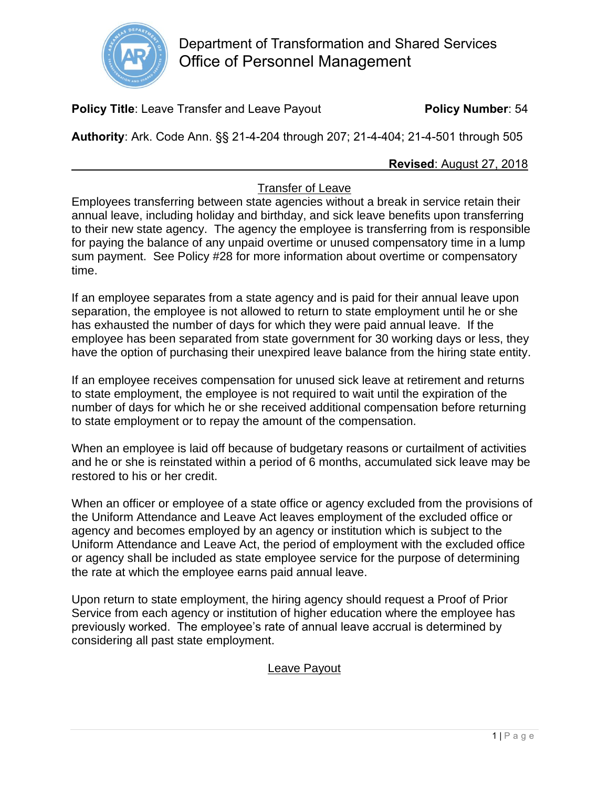

**Policy Title:** Leave Transfer and Leave Payout **Policy Number**: 54

**Authority**: Ark. Code Ann. §§ 21-4-204 through 207; 21-4-404; 21-4-501 through 505

### **Revised**: August 27, 2018

## Transfer of Leave

Employees transferring between state agencies without a break in service retain their annual leave, including holiday and birthday, and sick leave benefits upon transferring to their new state agency. The agency the employee is transferring from is responsible for paying the balance of any unpaid overtime or unused compensatory time in a lump sum payment. See Policy #28 for more information about overtime or compensatory time.

If an employee separates from a state agency and is paid for their annual leave upon separation, the employee is not allowed to return to state employment until he or she has exhausted the number of days for which they were paid annual leave. If the employee has been separated from state government for 30 working days or less, they have the option of purchasing their unexpired leave balance from the hiring state entity.

If an employee receives compensation for unused sick leave at retirement and returns to state employment, the employee is not required to wait until the expiration of the number of days for which he or she received additional compensation before returning to state employment or to repay the amount of the compensation.

When an employee is laid off because of budgetary reasons or curtailment of activities and he or she is reinstated within a period of 6 months, accumulated sick leave may be restored to his or her credit.

When an officer or employee of a state office or agency excluded from the provisions of the Uniform Attendance and Leave Act leaves employment of the excluded office or agency and becomes employed by an agency or institution which is subject to the Uniform Attendance and Leave Act, the period of employment with the excluded office or agency shall be included as state employee service for the purpose of determining the rate at which the employee earns paid annual leave.

Upon return to state employment, the hiring agency should request a Proof of Prior Service from each agency or institution of higher education where the employee has previously worked. The employee's rate of annual leave accrual is determined by considering all past state employment.

# Leave Payout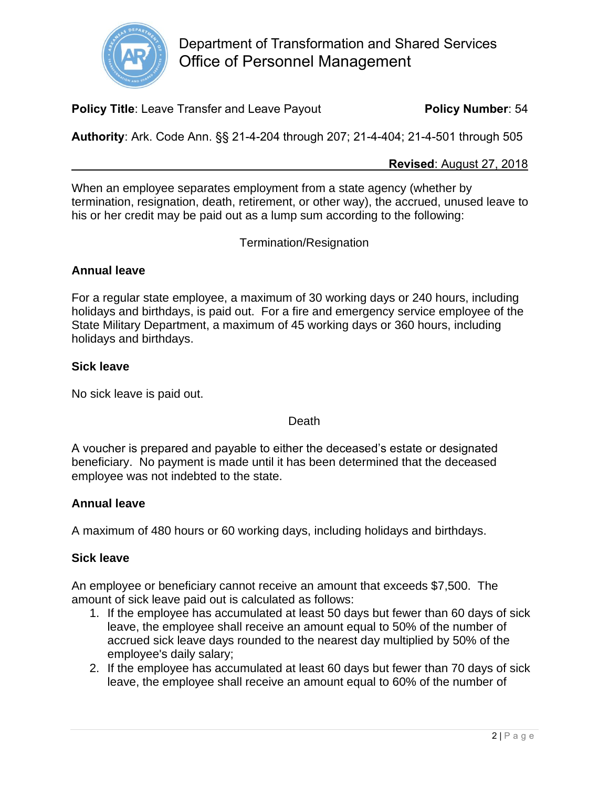

**Policy Title:** Leave Transfer and Leave Payout **Policy Number**: 54

**Authority**: Ark. Code Ann. §§ 21-4-204 through 207; 21-4-404; 21-4-501 through 505

#### **Revised**: August 27, 2018

When an employee separates employment from a state agency (whether by termination, resignation, death, retirement, or other way), the accrued, unused leave to his or her credit may be paid out as a lump sum according to the following:

Termination/Resignation

# **Annual leave**

For a regular state employee, a maximum of 30 working days or 240 hours, including holidays and birthdays, is paid out. For a fire and emergency service employee of the State Military Department, a maximum of 45 working days or 360 hours, including holidays and birthdays.

### **Sick leave**

No sick leave is paid out.

#### Death

A voucher is prepared and payable to either the deceased's estate or designated beneficiary. No payment is made until it has been determined that the deceased employee was not indebted to the state.

### **Annual leave**

A maximum of 480 hours or 60 working days, including holidays and birthdays.

### **Sick leave**

An employee or beneficiary cannot receive an amount that exceeds \$7,500. The amount of sick leave paid out is calculated as follows:

- 1. If the employee has accumulated at least 50 days but fewer than 60 days of sick leave, the employee shall receive an amount equal to 50% of the number of accrued sick leave days rounded to the nearest day multiplied by 50% of the employee's daily salary;
- 2. If the employee has accumulated at least 60 days but fewer than 70 days of sick leave, the employee shall receive an amount equal to 60% of the number of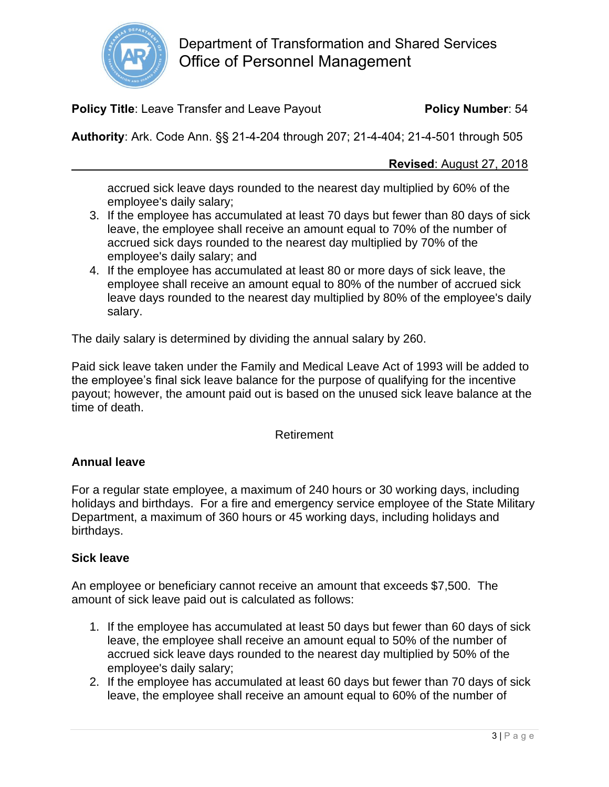

**Policy Title:** Leave Transfer and Leave Payout **Policy Number**: 54

**Authority**: Ark. Code Ann. §§ 21-4-204 through 207; 21-4-404; 21-4-501 through 505

### **Revised**: August 27, 2018

accrued sick leave days rounded to the nearest day multiplied by 60% of the employee's daily salary;

- 3. If the employee has accumulated at least 70 days but fewer than 80 days of sick leave, the employee shall receive an amount equal to 70% of the number of accrued sick days rounded to the nearest day multiplied by 70% of the employee's daily salary; and
- 4. If the employee has accumulated at least 80 or more days of sick leave, the employee shall receive an amount equal to 80% of the number of accrued sick leave days rounded to the nearest day multiplied by 80% of the employee's daily salary.

The daily salary is determined by dividing the annual salary by 260.

Paid sick leave taken under the Family and Medical Leave Act of 1993 will be added to the employee's final sick leave balance for the purpose of qualifying for the incentive payout; however, the amount paid out is based on the unused sick leave balance at the time of death.

### Retirement

### **Annual leave**

For a regular state employee, a maximum of 240 hours or 30 working days, including holidays and birthdays. For a fire and emergency service employee of the State Military Department, a maximum of 360 hours or 45 working days, including holidays and birthdays.

### **Sick leave**

An employee or beneficiary cannot receive an amount that exceeds \$7,500. The amount of sick leave paid out is calculated as follows:

- 1. If the employee has accumulated at least 50 days but fewer than 60 days of sick leave, the employee shall receive an amount equal to 50% of the number of accrued sick leave days rounded to the nearest day multiplied by 50% of the employee's daily salary;
- 2. If the employee has accumulated at least 60 days but fewer than 70 days of sick leave, the employee shall receive an amount equal to 60% of the number of